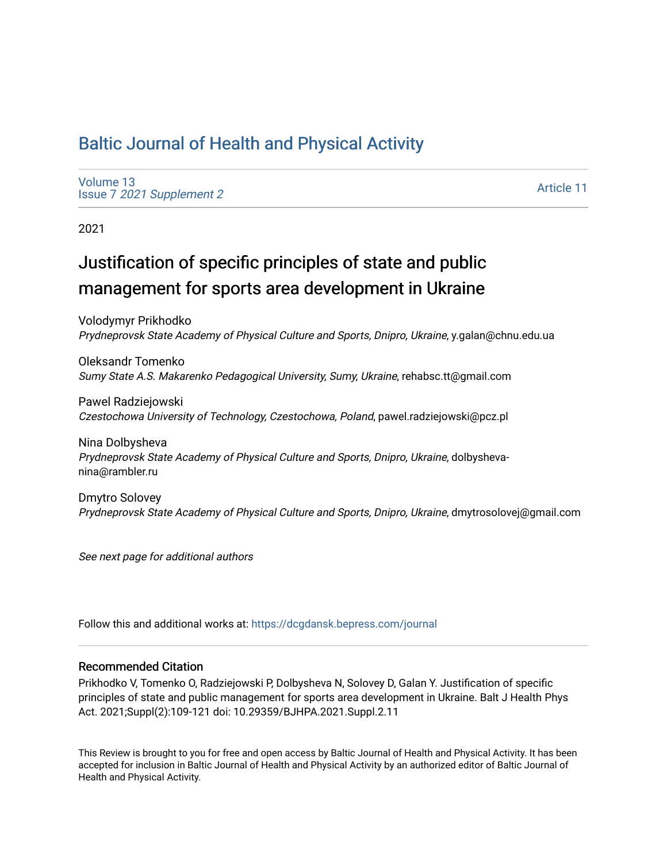## [Baltic Journal of Health and Physical Activity](https://dcgdansk.bepress.com/journal)

[Volume 13](https://dcgdansk.bepress.com/journal/vol13) Issue 7 [2021 Supplement 2](https://dcgdansk.bepress.com/journal/vol13/iss7) 

[Article 11](https://dcgdansk.bepress.com/journal/vol13/iss7/11) 

2021

# Justification of specific principles of state and public management for sports area development in Ukraine

Volodymyr Prikhodko Prydneprovsk State Academy of Physical Culture and Sports, Dnipro, Ukraine, y.galan@chnu.edu.ua

Oleksandr Tomenko Sumy State A.S. Makarenko Pedagogical University, Sumy, Ukraine, rehabsc.tt@gmail.com

Pawel Radziejowski Czestochowa University of Technology, Czestochowa, Poland, pawel.radziejowski@pcz.pl

Nina Dolbysheva Prydneprovsk State Academy of Physical Culture and Sports, Dnipro, Ukraine, dolbyshevanina@rambler.ru

Dmytro Solovey Prydneprovsk State Academy of Physical Culture and Sports, Dnipro, Ukraine, dmytrosolovej@gmail.com

See next page for additional authors

Follow this and additional works at: [https://dcgdansk.bepress.com/journal](https://dcgdansk.bepress.com/journal?utm_source=dcgdansk.bepress.com%2Fjournal%2Fvol13%2Fiss7%2F11&utm_medium=PDF&utm_campaign=PDFCoverPages)

#### Recommended Citation

Prikhodko V, Tomenko O, Radziejowski P, Dolbysheva N, Solovey D, Galan Y. Justification of specific principles of state and public management for sports area development in Ukraine. Balt J Health Phys Act. 2021;Suppl(2):109-121 doi: 10.29359/BJHPA.2021.Suppl.2.11

This Review is brought to you for free and open access by Baltic Journal of Health and Physical Activity. It has been accepted for inclusion in Baltic Journal of Health and Physical Activity by an authorized editor of Baltic Journal of Health and Physical Activity.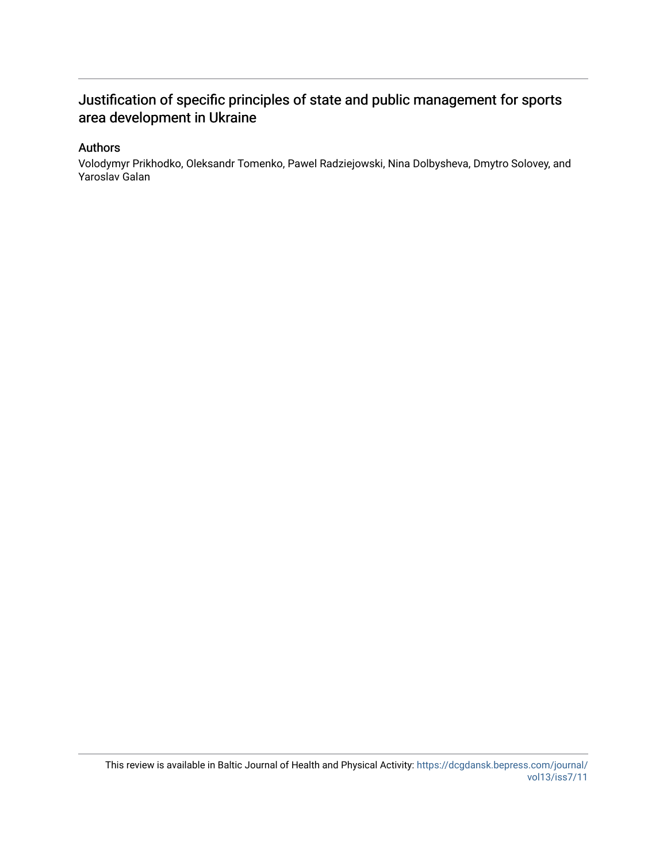## Justification of specific principles of state and public management for sports area development in Ukraine

#### Authors

Volodymyr Prikhodko, Oleksandr Tomenko, Pawel Radziejowski, Nina Dolbysheva, Dmytro Solovey, and Yaroslav Galan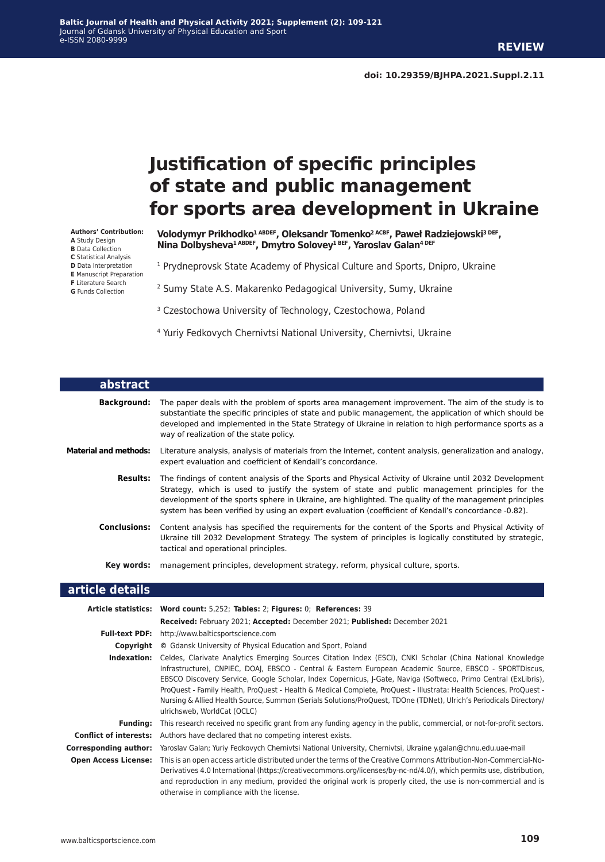# **Justification of specific principles of state and public management for sports area development in Ukraine**

**Authors' Contribution: A** Study Design **B** Data Collection **C** Statistical Analysis **D** Data Interpretation **E** Manuscript Preparation **F** Literature Search **G** Funds Collection

**Volodymyr Prikhodko1 ABDEF, Oleksandr Tomenko2 AСBF, Paweł Radziejowski3 DEF, Nina Dolbysheva1 ABDEF, Dmytro Solovey1 BEF, Yaroslav Galan4 DEF**

<sup>1</sup> Prydneprovsk State Academy of Physical Culture and Sports, Dnipro, Ukraine

2 Sumy State A.S. Makarenko Pedagogical University, Sumy, Ukraine

<sup>3</sup> Czestochowa University of Technology, Czestochowa, Poland

4 Yuriy Fedkovych Chernivtsi National University, Chernivtsi, Ukraine

| abstract                     |                                                                                                                                                                                                                                                                                                                                                                                                                             |
|------------------------------|-----------------------------------------------------------------------------------------------------------------------------------------------------------------------------------------------------------------------------------------------------------------------------------------------------------------------------------------------------------------------------------------------------------------------------|
| Background:                  | The paper deals with the problem of sports area management improvement. The aim of the study is to<br>substantiate the specific principles of state and public management, the application of which should be<br>developed and implemented in the State Strategy of Ukraine in relation to high performance sports as a<br>way of realization of the state policy.                                                          |
| <b>Material and methods:</b> | Literature analysis, analysis of materials from the Internet, content analysis, generalization and analogy,<br>expert evaluation and coefficient of Kendall's concordance.                                                                                                                                                                                                                                                  |
| <b>Results:</b>              | The findings of content analysis of the Sports and Physical Activity of Ukraine until 2032 Development<br>Strategy, which is used to justify the system of state and public management principles for the<br>development of the sports sphere in Ukraine, are highlighted. The quality of the management principles<br>system has been verified by using an expert evaluation (coefficient of Kendall's concordance -0.82). |
| <b>Conclusions:</b>          | Content analysis has specified the requirements for the content of the Sports and Physical Activity of<br>Ukraine till 2032 Development Strategy. The system of principles is logically constituted by strategic,<br>tactical and operational principles.                                                                                                                                                                   |
| Key words:                   | management principles, development strategy, reform, physical culture, sports.                                                                                                                                                                                                                                                                                                                                              |

#### **article details**

|                               | Article statistics: Word count: 5,252; Tables: 2; Figures: 0; References: 39                                                                                                                                                                                                                                                                                                                                                                                                                                                                                                                                       |  |  |
|-------------------------------|--------------------------------------------------------------------------------------------------------------------------------------------------------------------------------------------------------------------------------------------------------------------------------------------------------------------------------------------------------------------------------------------------------------------------------------------------------------------------------------------------------------------------------------------------------------------------------------------------------------------|--|--|
|                               | Received: February 2021; Accepted: December 2021; Published: December 2021                                                                                                                                                                                                                                                                                                                                                                                                                                                                                                                                         |  |  |
| <b>Full-text PDF:</b>         | http://www.balticsportscience.com                                                                                                                                                                                                                                                                                                                                                                                                                                                                                                                                                                                  |  |  |
| Copyright                     | © Gdansk University of Physical Education and Sport, Poland                                                                                                                                                                                                                                                                                                                                                                                                                                                                                                                                                        |  |  |
| Indexation:                   | Celdes, Clarivate Analytics Emerging Sources Citation Index (ESCI), CNKI Scholar (China National Knowledge<br>Infrastructure), CNPIEC, DOAJ, EBSCO - Central & Eastern European Academic Source, EBSCO - SPORTDiscus,<br>EBSCO Discovery Service, Google Scholar, Index Copernicus, J-Gate, Naviga (Softweco, Primo Central (ExLibris),<br>ProQuest - Family Health, ProQuest - Health & Medical Complete, ProQuest - Illustrata: Health Sciences, ProQuest -<br>Nursing & Allied Health Source, Summon (Serials Solutions/ProQuest, TDOne (TDNet), Ulrich's Periodicals Directory/<br>ulrichsweb, WorldCat (OCLC) |  |  |
| Fundina:                      | This research received no specific grant from any funding agency in the public, commercial, or not-for-profit sectors.                                                                                                                                                                                                                                                                                                                                                                                                                                                                                             |  |  |
| <b>Conflict of interests:</b> | Authors have declared that no competing interest exists.                                                                                                                                                                                                                                                                                                                                                                                                                                                                                                                                                           |  |  |
| Corresponding author:         | Yaroslav Galan; Yuriy Fedkovych Chernivtsi National University, Chernivtsi, Ukraine y.galan@chnu.edu.uae-mail                                                                                                                                                                                                                                                                                                                                                                                                                                                                                                      |  |  |
| <b>Open Access License:</b>   | This is an open access article distributed under the terms of the Creative Commons Attribution-Non-Commercial-No-<br>Derivatives 4.0 International (https://creativecommons.org/licenses/by-nc-nd/4.0/), which permits use, distribution,<br>and reproduction in any medium, provided the original work is properly cited, the use is non-commercial and is<br>otherwise in compliance with the license.                                                                                                                                                                                                           |  |  |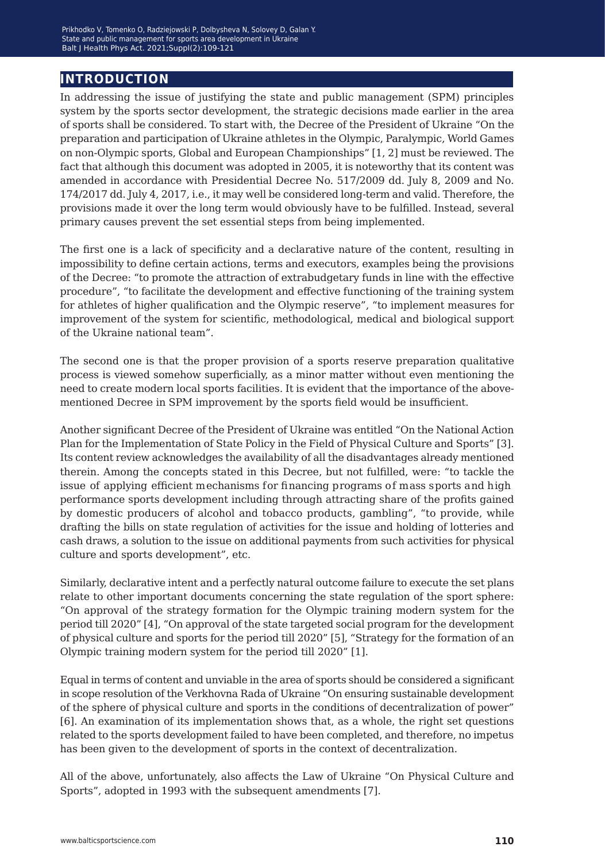### **introduction**

In addressing the issue of justifying the state and public management (SPM) principles system by the sports sector development, the strategic decisions made earlier in the area of sports shall be considered. To start with, the Decree of the President of Ukraine "On the preparation and participation of Ukraine athletes in the Olympic, Paralympic, World Games on non-Olympic sports, Global and European Championships" [1, 2] must be reviewed. The fact that although this document was adopted in 2005, it is noteworthy that its content was amended in accordance with Presidential Decree No. 517/2009 dd. July 8, 2009 and No. 174/2017 dd. July 4, 2017, i.e., it may well be considered long-term and valid. Therefore, the provisions made it over the long term would obviously have to be fulfilled. Instead, several primary causes prevent the set essential steps from being implemented.

The first one is a lack of specificity and a declarative nature of the content, resulting in impossibility to define certain actions, terms and executors, examples being the provisions of the Decree: "to promote the attraction of extrabudgetary funds in line with the effective procedure", "to facilitate the development and effective functioning of the training system for athletes of higher qualification and the Olympic reserve", "to implement measures for improvement of the system for scientific, methodological, medical and biological support of the Ukraine national team".

The second one is that the proper provision of a sports reserve preparation qualitative process is viewed somehow superficially, as a minor matter without even mentioning the need to create modern local sports facilities. It is evident that the importance of the abovementioned Decree in SPM improvement by the sports field would be insufficient.

Another significant Decree of the President of Ukraine was entitled "On the National Action Plan for the Implementation of State Policy in the Field of Physical Culture and Sports" [3]. Its content review acknowledges the availability of all the disadvantages already mentioned therein. Among the concepts stated in this Decree, but not fulfilled, were: "to tackle the issue of applying efficient mechanisms for financing programs of mass sports and high performance sports development including through attracting share of the profits gained by domestic producers of alcohol and tobacco products, gambling", "to provide, while drafting the bills on state regulation of activities for the issue and holding of lotteries and cash draws, a solution to the issue on additional payments from such activities for physical culture and sports development", etc.

Similarly, declarative intent and a perfectly natural outcome failure to execute the set plans relate to other important documents concerning the state regulation of the sport sphere: "On approval of the strategy formation for the Olympic training modern system for the period till 2020" [4], "On approval of the state targeted social program for the development of physical culture and sports for the period till 2020" [5], "Strategy for the formation of an Olympic training modern system for the period till 2020" [1].

Equal in terms of content and unviable in the area of sports should be considered a significant in scope resolution of the Verkhovna Rada of Ukraine "On ensuring sustainable development of the sphere of physical culture and sports in the conditions of decentralization of power" [6]. An examination of its implementation shows that, as a whole, the right set questions related to the sports development failed to have been completed, and therefore, no impetus has been given to the development of sports in the context of decentralization.

All of the above, unfortunately, also affects the Law of Ukraine "On Physical Culture and Sports", adopted in 1993 with the subsequent amendments [7].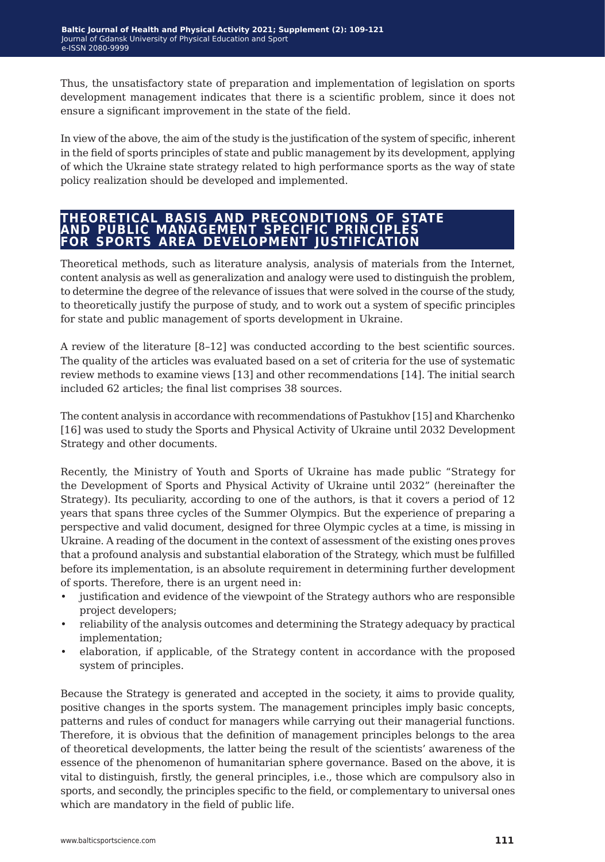Thus, the unsatisfactory state of preparation and implementation of legislation on sports development management indicates that there is a scientific problem, since it does not ensure a significant improvement in the state of the field.

In view of the above, the aim of the study is the justification of the system of specific, inherent in the field of sports principles of state and public management by its development, applying of which the Ukraine state strategy related to high performance sports as the way of state policy realization should be developed and implemented.

#### **theoretical basis and preconditions of state and public management specific principles for sports area development justification**

Theoretical methods, such as literature analysis, analysis of materials from the Internet, content analysis as well as generalization and analogy were used to distinguish the problem, to determine the degree of the relevance of issues that were solved in the course of the study, to theoretically justify the purpose of study, and to work out a system of specific principles for state and public management of sports development in Ukraine.

A review of the literature [8–12] was conducted according to the best scientific sources. The quality of the articles was evaluated based on a set of criteria for the use of systematic review methods to examine views [13] and other recommendations [14]. The initial search included 62 articles; the final list comprises 38 sources.

The content analysis in accordance with recommendations of Pastukhov [15] and Kharchenko [16] was used to study the Sports and Physical Activity of Ukraine until 2032 Development Strategy and other documents.

Recently, the Ministry of Youth and Sports of Ukraine has made public "Strategy for the Development of Sports and Physical Activity of Ukraine until 2032" (hereinafter the Strategy). Its peculiarity, according to one of the authors, is that it covers a period of 12 years that spans three cycles of the Summer Olympics. But the experience of preparing a perspective and valid document, designed for three Olympic cycles at a time, is missing in Ukraine. A reading of the document in the context of assessment of the existing ones proves that a profound analysis and substantial elaboration of the Strategy, which must be fulfilled before its implementation, is an absolute requirement in determining further development of sports. Therefore, there is an urgent need in:

- justification and evidence of the viewpoint of the Strategy authors who are responsible project developers;
- reliability of the analysis outcomes and determining the Strategy adequacy by practical implementation;
- elaboration, if applicable, of the Strategy content in accordance with the proposed system of principles.

Because the Strategy is generated and accepted in the society, it aims to provide quality, positive changes in the sports system. The management principles imply basic concepts, patterns and rules of conduct for managers while carrying out their managerial functions. Therefore, it is obvious that the definition of management principles belongs to the area of theoretical developments, the latter being the result of the scientists' awareness of the essence of the phenomenon of humanitarian sphere governance. Based on the above, it is vital to distinguish, firstly, the general principles, i.e., those which are compulsory also in sports, and secondly, the principles specific to the field, or complementary to universal ones which are mandatory in the field of public life.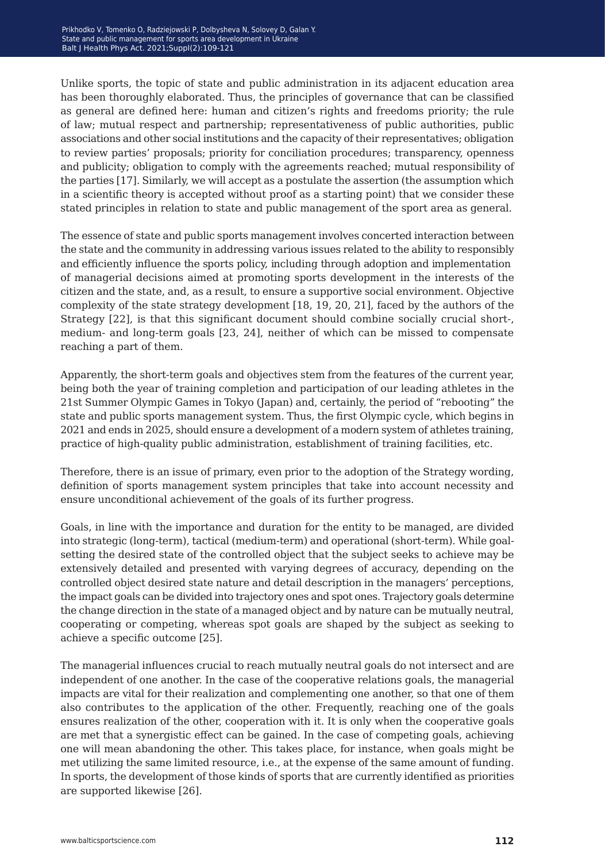Unlike sports, the topic of state and public administration in its adjacent education area has been thoroughly elaborated. Thus, the principles of governance that can be classified as general are defined here: human and citizen's rights and freedoms priority; the rule of law; mutual respect and partnership; representativeness of public authorities, public associations and other social institutions and the capacity of their representatives; obligation to review parties' proposals; priority for conciliation procedures; transparency, openness and publicity; obligation to comply with the agreements reached; mutual responsibility of the parties [17]. Similarly, we will accept as a postulate the assertion (the assumption which in a scientific theory is accepted without proof as a starting point) that we consider these stated principles in relation to state and public management of the sport area as general.

The essence of state and public sports management involves concerted interaction between the state and the community in addressing various issues related to the ability to responsibly and efficiently influence the sports policy, including through adoption and implementation of managerial decisions aimed at promoting sports development in the interests of the citizen and the state, and, as a result, to ensure a supportive social environment. Objective complexity of the state strategy development [18, 19, 20, 21], faced by the authors of the Strategy [22], is that this significant document should combine socially crucial short-, medium- and long-term goals [23, 24], neither of which can be missed to compensate reaching a part of them.

Apparently, the short-term goals and objectives stem from the features of the current year, being both the year of training completion and participation of our leading athletes in the 21st Summer Olympic Games in Tokyo (Japan) and, certainly, the period of "rebooting" the state and public sports management system. Thus, the first Olympic cycle, which begins in 2021 and ends in 2025, should ensure a development of a modern system of athletes training, practice of high-quality public administration, establishment of training facilities, etc.

Therefore, there is an issue of primary, even prior to the adoption of the Strategy wording, definition of sports management system principles that take into account necessity and ensure unconditional achievement of the goals of its further progress.

Goals, in line with the importance and duration for the entity to be managed, are divided into strategic (long-term), tactical (medium-term) and operational (short-term). While goalsetting the desired state of the controlled object that the subject seeks to achieve may be extensively detailed and presented with varying degrees of accuracy, depending on the controlled object desired state nature and detail description in the managers' perceptions, the impact goals can be divided into trajectory ones and spot ones. Trajectory goals determine the change direction in the state of a managed object and by nature can be mutually neutral, cooperating or competing, whereas spot goals are shaped by the subject as seeking to achieve a specific outcome [25].

The managerial influences crucial to reach mutually neutral goals do not intersect and are independent of one another. In the case of the cooperative relations goals, the managerial impacts are vital for their realization and complementing one another, so that one of them also contributes to the application of the other. Frequently, reaching one of the goals ensures realization of the other, cooperation with it. It is only when the cooperative goals are met that a synergistic effect can be gained. In the case of competing goals, achieving one will mean abandoning the other. This takes place, for instance, when goals might be met utilizing the same limited resource, i.e., at the expense of the same amount of funding. In sports, the development of those kinds of sports that are currently identified as priorities are supported likewise [26].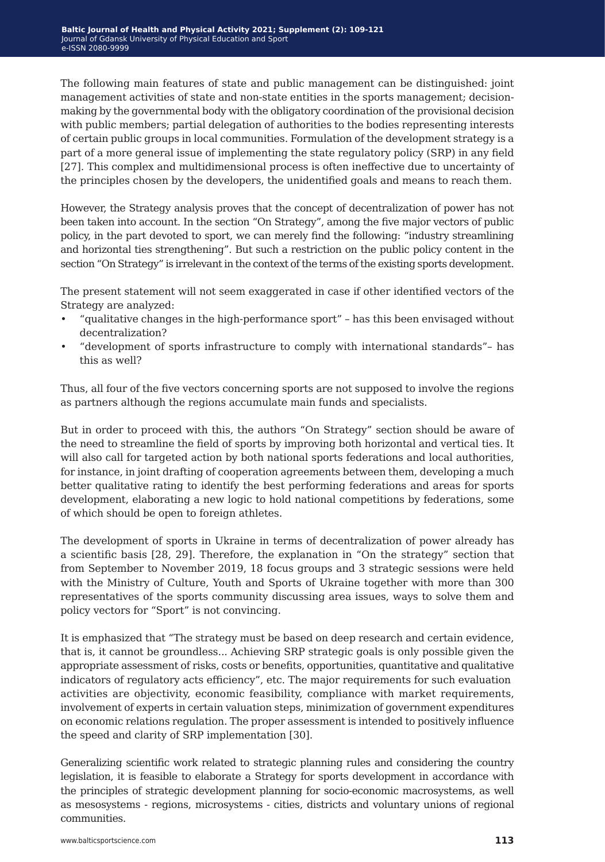The following main features of state and public management can be distinguished: joint management activities of state and non-state entities in the sports management; decisionmaking by the governmental body with the obligatory coordination of the provisional decision with public members; partial delegation of authorities to the bodies representing interests of certain public groups in local communities. Formulation of the development strategy is a part of a more general issue of implementing the state regulatory policy (SRP) in any field [27]. This complex and multidimensional process is often ineffective due to uncertainty of the principles chosen by the developers, the unidentified goals and means to reach them.

However, the Strategy analysis proves that the concept of decentralization of power has not been taken into account. In the section "On Strategy", among the five major vectors of public policy, in the part devoted to sport, we can merely find the following: "industry streamlining and horizontal ties strengthening". But such a restriction on the public policy content in the section "On Strategy" is irrelevant in the context of the terms of the existing sports development.

The present statement will not seem exaggerated in case if other identified vectors of the Strategy are analyzed:

- "qualitative changes in the high-performance sport" has this been envisaged without decentralization?
- "development of sports infrastructure to comply with international standards"– has this as well?

Thus, all four of the five vectors concerning sports are not supposed to involve the regions as partners although the regions accumulate main funds and specialists.

But in order to proceed with this, the authors "On Strategy" section should be aware of the need to streamline the field of sports by improving both horizontal and vertical ties. It will also call for targeted action by both national sports federations and local authorities, for instance, in joint drafting of cooperation agreements between them, developing a much better qualitative rating to identify the best performing federations and areas for sports development, elaborating a new logic to hold national competitions by federations, some of which should be open to foreign athletes.

The development of sports in Ukraine in terms of decentralization of power already has a scientific basis [28, 29]. Therefore, the explanation in "On the strategy" section that from September to November 2019, 18 focus groups and 3 strategic sessions were held with the Ministry of Culture, Youth and Sports of Ukraine together with more than 300 representatives of the sports community discussing area issues, ways to solve them and policy vectors for "Sport" is not convincing.

It is emphasized that "The strategy must be based on deep research and certain evidence, that is, it cannot be groundless... Achieving SRP strategic goals is only possible given the appropriate assessment of risks, costs or benefits, opportunities, quantitative and qualitative indicators of regulatory acts efficiency", etc. The major requirements for such evaluation activities are objectivity, economic feasibility, compliance with market requirements, involvement of experts in certain valuation steps, minimization of government expenditures on economic relations regulation. The proper assessment is intended to positively influence the speed and clarity of SRP implementation [30].

Generalizing scientific work related to strategic planning rules and considering the country legislation, it is feasible to elaborate a Strategy for sports development in accordance with the principles of strategic development planning for socio-economic macrosystems, as well as mesosystems - regions, microsystems - cities, districts and voluntary unions of regional communities.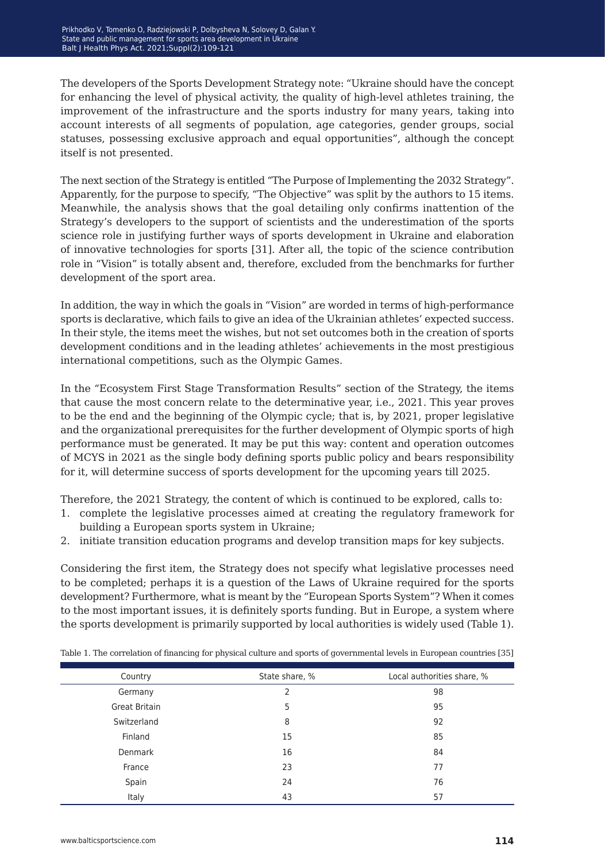The developers of the Sports Development Strategy note: "Ukraine should have the concept for enhancing the level of physical activity, the quality of high-level athletes training, the improvement of the infrastructure and the sports industry for many years, taking into account interests of all segments of population, age categories, gender groups, social statuses, possessing exclusive approach and equal opportunities", although the concept itself is not presented.

The next section of the Strategy is entitled "The Purpose of Implementing the 2032 Strategy". Apparently, for the purpose to specify, "The Objective" was split by the authors to 15 items. Meanwhile, the analysis shows that the goal detailing only confirms inattention of the Strategy's developers to the support of scientists and the underestimation of the sports science role in justifying further ways of sports development in Ukraine and elaboration of innovative technologies for sports [31]. After all, the topic of the science contribution role in "Vision" is totally absent and, therefore, excluded from the benchmarks for further development of the sport area.

In addition, the way in which the goals in "Vision" are worded in terms of high-performance sports is declarative, which fails to give an idea of the Ukrainian athletes' expected success. In their style, the items meet the wishes, but not set outcomes both in the creation of sports development conditions and in the leading athletes' achievements in the most prestigious international competitions, such as the Olympic Games.

In the "Ecosystem First Stage Transformation Results" section of the Strategy, the items that cause the most concern relate to the determinative year, i.e., 2021. This year proves to be the end and the beginning of the Olympic cycle; that is, by 2021, proper legislative and the organizational prerequisites for the further development of Olympic sports of high performance must be generated. It may be put this way: content and operation outcomes of MCYS in 2021 as the single body defining sports public policy and bears responsibility for it, will determine success of sports development for the upcoming years till 2025.

Therefore, the 2021 Strategy, the content of which is continued to be explored, calls to:

- 1. complete the legislative processes aimed at creating the regulatory framework for building a European sports system in Ukraine;
- 2. initiate transition education programs and develop transition maps for key subjects.

Considering the first item, the Strategy does not specify what legislative processes need to be completed; perhaps it is a question of the Laws of Ukraine required for the sports development? Furthermore, what is meant by the "European Sports System"? When it comes to the most important issues, it is definitely sports funding. But in Europe, a system where the sports development is primarily supported by local authorities is widely used (Table 1).

| Country              | State share, % | Local authorities share, % |
|----------------------|----------------|----------------------------|
| Germany              | 2              | 98                         |
| <b>Great Britain</b> | 5              | 95                         |
| Switzerland          | 8              | 92                         |
| Finland              | 15             | 85                         |
| Denmark              | 16             | 84                         |
| France               | 23             | 77                         |
| Spain                | 24             | 76                         |
| Italy                | 43             | 57                         |

Table 1. The correlation of financing for physical culture and sports of governmental levels in European countries [35]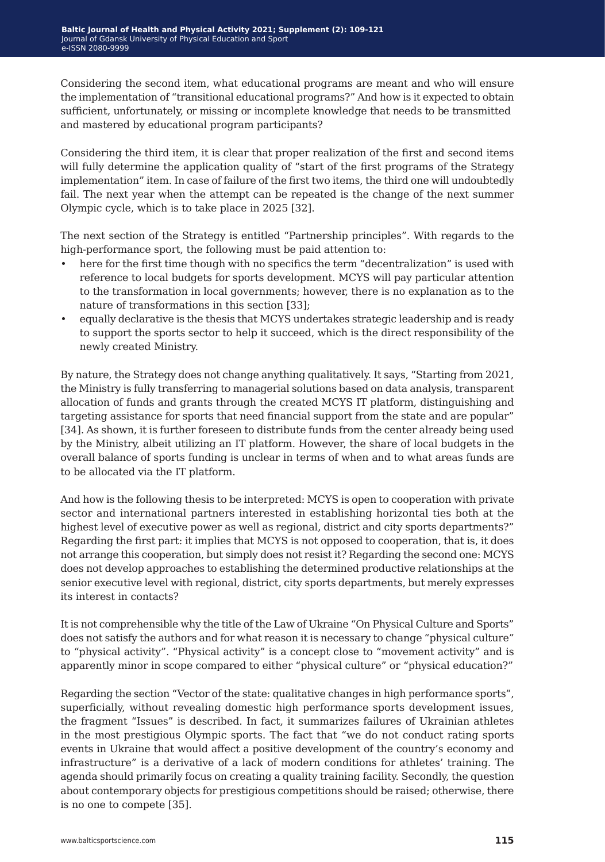Considering the second item, what educational programs are meant and who will ensure the implementation of "transitional educational programs?" And how is it expected to obtain sufficient, unfortunately, or missing or incomplete knowledge that needs to be transmitted and mastered by educational program participants?

Considering the third item, it is clear that proper realization of the first and second items will fully determine the application quality of "start of the first programs of the Strategy implementation" item. In case of failure of the first two items, the third one will undoubtedly fail. The next year when the attempt can be repeated is the change of the next summer Olympic cycle, which is to take place in 2025 [32].

The next section of the Strategy is entitled "Partnership principles". With regards to the high-performance sport, the following must be paid attention to:

- here for the first time though with no specifics the term "decentralization" is used with reference to local budgets for sports development. MCYS will pay particular attention to the transformation in local governments; however, there is no explanation as to the nature of transformations in this section [33];
- equally declarative is the thesis that MCYS undertakes strategic leadership and is ready to support the sports sector to help it succeed, which is the direct responsibility of the newly created Ministry.

By nature, the Strategy does not change anything qualitatively. It says, "Starting from 2021, the Ministry is fully transferring to managerial solutions based on data analysis, transparent allocation of funds and grants through the created MCYS IT platform, distinguishing and targeting assistance for sports that need financial support from the state and are popular" [34]. As shown, it is further foreseen to distribute funds from the center already being used by the Ministry, albeit utilizing an IT platform. However, the share of local budgets in the overall balance of sports funding is unclear in terms of when and to what areas funds are to be allocated via the IT platform.

And how is the following thesis to be interpreted: MCYS is open to cooperation with private sector and international partners interested in establishing horizontal ties both at the highest level of executive power as well as regional, district and city sports departments?" Regarding the first part: it implies that MCYS is not opposed to cooperation, that is, it does not arrange this cooperation, but simply does not resist it? Regarding the second one: MCYS does not develop approaches to establishing the determined productive relationships at the senior executive level with regional, district, city sports departments, but merely expresses its interest in contacts?

It is not comprehensible why the title of the Law of Ukraine "On Physical Culture and Sports" does not satisfy the authors and for what reason it is necessary to change "physical culture" to "physical activity". "Physical activity" is a concept close to "movement activity" and is apparently minor in scope compared to either "physical culture" or "physical education?"

Regarding the section "Vector of the state: qualitative changes in high performance sports", superficially, without revealing domestic high performance sports development issues, the fragment "Issues" is described. In fact, it summarizes failures of Ukrainian athletes in the most prestigious Olympic sports. The fact that "we do not conduct rating sports events in Ukraine that would affect a positive development of the country's economy and infrastructure" is a derivative of a lack of modern conditions for athletes' training. The agenda should primarily focus on creating a quality training facility. Secondly, the question about contemporary objects for prestigious competitions should be raised; otherwise, there is no one to compete [35].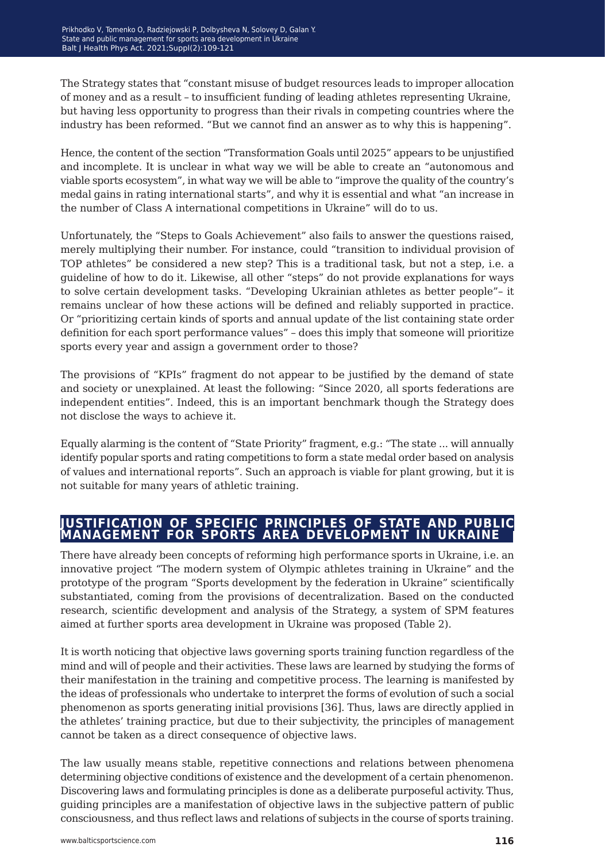The Strategy states that "constant misuse of budget resources leads to improper allocation of money and as a result – to insufficient funding of leading athletes representing Ukraine, but having less opportunity to progress than their rivals in competing countries where the industry has been reformed. "But we cannot find an answer as to why this is happening".

Hence, the content of the section "Transformation Goals until 2025" appears to be unjustified and incomplete. It is unclear in what way we will be able to create an "autonomous and viable sports ecosystem", in what way we will be able to "improve the quality of the country's medal gains in rating international starts", and why it is essential and what "an increase in the number of Class A international competitions in Ukraine" will do to us.

Unfortunately, the "Steps to Goals Achievement" also fails to answer the questions raised, merely multiplying their number. For instance, could "transition to individual provision of TOP athletes" be considered a new step? This is a traditional task, but not a step, i.e. a guideline of how to do it. Likewise, all other "steps" do not provide explanations for ways to solve certain development tasks. "Developing Ukrainian athletes as better people"– it remains unclear of how these actions will be defined and reliably supported in practice. Or "prioritizing certain kinds of sports and annual update of the list containing state order definition for each sport performance values" – does this imply that someone will prioritize sports every year and assign a government order to those?

The provisions of "KPIs" fragment do not appear to be justified by the demand of state and society or unexplained. At least the following: "Since 2020, all sports federations are independent entities". Indeed, this is an important benchmark though the Strategy does not disclose the ways to achieve it.

Equally alarming is the content of "State Priority" fragment, e.g.: "The state ... will annually identify popular sports and rating competitions to form a state medal order based on analysis of values and international reports". Such an approach is viable for plant growing, but it is not suitable for many years of athletic training.

#### **justification of specific principles of state and public management for sports area development in ukraine**

There have already been concepts of reforming high performance sports in Ukraine, i.e. an innovative project "The modern system of Olympic athletes training in Ukraine" and the prototype of the program "Sports development by the federation in Ukraine" scientifically substantiated, coming from the provisions of decentralization. Based on the conducted research, scientific development and analysis of the Strategy, a system of SPM features aimed at further sports area development in Ukraine was proposed (Table 2).

It is worth noticing that objective laws governing sports training function regardless of the mind and will of people and their activities. These laws are learned by studying the forms of their manifestation in the training and competitive process. The learning is manifested by the ideas of professionals who undertake to interpret the forms of evolution of such a social phenomenon as sports generating initial provisions [36]. Thus, laws are directly applied in the athletes' training practice, but due to their subjectivity, the principles of management cannot be taken as a direct consequence of objective laws.

The law usually means stable, repetitive connections and relations between phenomena determining objective conditions of existence and the development of a certain phenomenon. Discovering laws and formulating principles is done as a deliberate purposeful activity. Thus, guiding principles are a manifestation of objective laws in the subjective pattern of public consciousness, and thus reflect laws and relations of subjects in the course of sports training.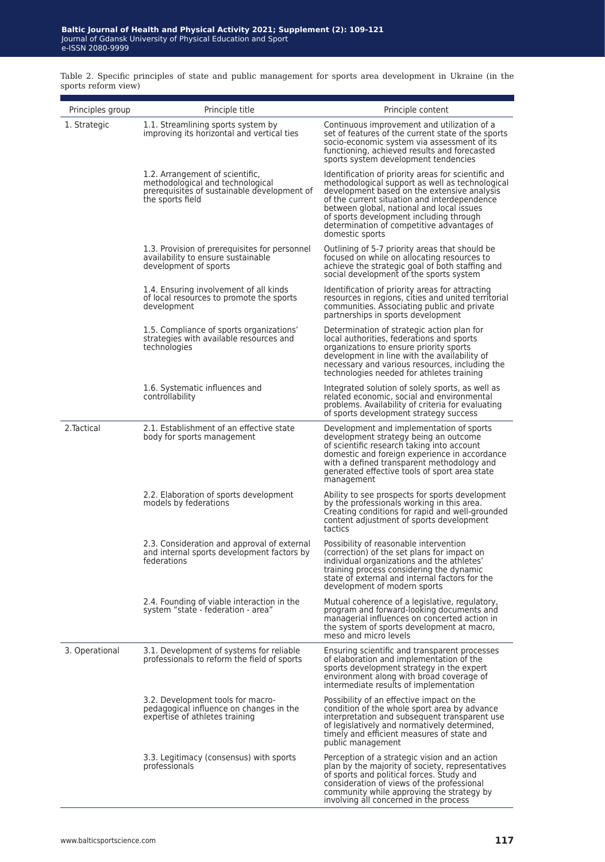Table 2. Specific principles of state and public management for sports area development in Ukraine (in the sports reform view)

| Principles group | Principle title                                                                                                                        | Principle content                                                                                                                                                                                                                                                                                                                                              |
|------------------|----------------------------------------------------------------------------------------------------------------------------------------|----------------------------------------------------------------------------------------------------------------------------------------------------------------------------------------------------------------------------------------------------------------------------------------------------------------------------------------------------------------|
| 1. Strategic     | 1.1. Streamlining sports system by<br>improving its horizontal and vertical ties                                                       | Continuous improvement and utilization of a<br>set of features of the current state of the sports<br>socio-economic system via assessment of its<br>functioning, achieved results and forecasted<br>sports system development tendencies                                                                                                                       |
|                  | 1.2. Arrangement of scientific,<br>methodological and technological<br>prerequisites of sustainable development of<br>the sports field | Identification of priority areas for scientific and<br>methodological support as well as technological<br>development based on the extensive analysis<br>of the current situation and interdependence<br>between global, national and local issues<br>of sports development including through<br>determination of competitive advantages of<br>domestic sports |
|                  | 1.3. Provision of prerequisites for personnel<br>availability to ensure sustainable<br>development of sports                           | Outlining of 5-7 priority areas that should be<br>focused on while on allocating resources to<br>achieve the strategic goal of both staffing and<br>social development of the sports system                                                                                                                                                                    |
|                  | 1.4. Ensuring involvement of all kinds<br>of local resources to promote the sports<br>development                                      | Identification of priority areas for attracting<br>resources in regions, cities and united territorial<br>communities. Associating public and private<br>partnerships in sports development                                                                                                                                                                    |
|                  | 1.5. Compliance of sports organizations'<br>strategies with available resources and<br>technologies                                    | Determination of strategic action plan for<br>local authorities, federations and sports<br>organizations to ensure priority sports<br>development in line with the availability of<br>necessary and various resources, including the<br>technologies needed for athletes training                                                                              |
|                  | 1.6. Systematic influences and<br>controllability                                                                                      | Integrated solution of solely sports, as well as<br>related economic, social and environmental<br>problems. Availability of criteria for evaluating<br>of sports development strategy success                                                                                                                                                                  |
| 2. Tactical      | 2.1. Establishment of an effective state<br>body for sports management                                                                 | Development and implementation of sports<br>development strategy being an outcome<br>of scientific research taking into account<br>domestic and foreign experience in accordance<br>with a defined transparent methodology and<br>generated effective tools of sport area state<br>management                                                                  |
|                  | 2.2. Elaboration of sports development<br>models by federations                                                                        | Ability to see prospects for sports development<br>by the professionals working in this area.<br>Creating conditions for rapid and well-grounded<br>content adjustment of sports development<br>tactics                                                                                                                                                        |
|                  | 2.3. Consideration and approval of external<br>and internal sports development factors by<br>federations                               | Possibility of reasonable intervention<br>(correction) of the set plans for impact on<br>individual organizations and the athletes'<br>training process considering the dynamic<br>state of external and internal factors for the<br>development of modern sports                                                                                              |
|                  | 2.4. Founding of viable interaction in the<br>system "state - federation - area"                                                       | Mutual coherence of a legislative, regulatory,<br>program and forward-looking documents and<br>managerial influences on concerted action in<br>the system of sports development at macro,<br>meso and micro levels                                                                                                                                             |
| 3. Operational   | 3.1. Development of systems for reliable<br>professionals to reform the field of sports                                                | Ensuring scientific and transparent processes<br>of elaboration and implementation of the<br>sports development strategy in the expert<br>environment along with broad coverage of<br>intermediate results of implementation                                                                                                                                   |
|                  | 3.2. Development tools for macro-<br>pedagogical influence on changes in the<br>expertise of athletes training                         | Possibility of an effective impact on the<br>condition of the whole sport area by advance<br>interpretation and subsequent transparent use<br>of legislatively and normatively determined,<br>timely and efficient measures of state and<br>public management                                                                                                  |
|                  | 3.3. Legitimacy (consensus) with sports<br>professionals                                                                               | Perception of a strategic vision and an action<br>plan by the majority of society, representatives<br>of sports and political forces. Study and<br>consideration of views of the professional<br>community while approving the strategy by<br>involving all concerned in the process                                                                           |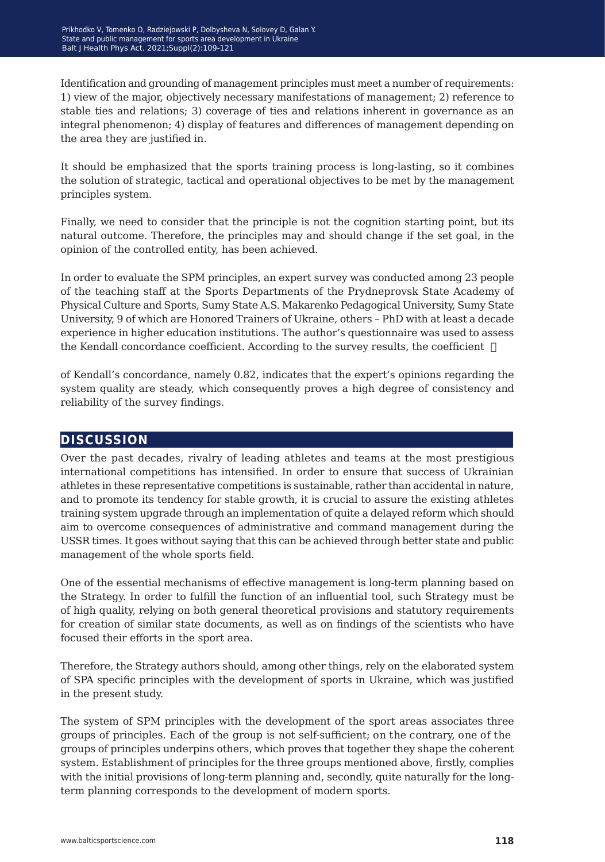Identification and grounding of management principles must meet a number of requirements: 1) view of the major, objectively necessary manifestations of management; 2) reference to stable ties and relations; 3) coverage of ties and relations inherent in governance as an integral phenomenon; 4) display of features and differences of management depending on the area they are justified in.

It should be emphasized that the sports training process is long-lasting, so it combines the solution of strategic, tactical and operational objectives to be met by the management principles system.

Finally, we need to consider that the principle is not the cognition starting point, but its natural outcome. Therefore, the principles may and should change if the set goal, in the opinion of the controlled entity, has been achieved.

In order to evaluate the SPM principles, an expert survey was conducted among 23 people of the teaching staff at the Sports Departments of the Prydneprovsk State Academy of Physical Culture and Sports, Sumy State A.S. Makarenko Pedagogical University, Sumy State University, 9 of which are Honored Trainers of Ukraine, others – PhD with at least a decade experience in higher education institutions. The author's questionnaire was used to assess the Kendall concordance coefficient. According to the survey results, the coefficient  $\Box$ 

of Kendall's concordance, namely 0.82, indicates that the expert's opinions regarding the system quality are steady, which consequently proves a high degree of consistency and reliability of the survey findings.

#### **discussion**

Over the past decades, rivalry of leading athletes and teams at the most prestigious international competitions has intensified. In order to ensure that success of Ukrainian athletes in these representative competitions is sustainable, rather than accidental in nature, and to promote its tendency for stable growth, it is crucial to assure the existing athletes training system upgrade through an implementation of quite a delayed reform which should aim to overcome consequences of administrative and command management during the USSR times. It goes without saying that this can be achieved through better state and public management of the whole sports field.

One of the essential mechanisms of effective management is long-term planning based on the Strategy. In order to fulfill the function of an influential tool, such Strategy must be of high quality, relying on both general theoretical provisions and statutory requirements for creation of similar state documents, as well as on findings of the scientists who have focused their efforts in the sport area.

Therefore, the Strategy authors should, among other things, rely on the elaborated system of SPA specific principles with the development of sports in Ukraine, which was justified in the present study.

The system of SPM principles with the development of the sport areas associates three groups of principles. Each of the group is not self-sufficient; on the contrary, one of the groups of principles underpins others, which proves that together they shape the coherent system. Establishment of principles for the three groups mentioned above, firstly, complies with the initial provisions of long-term planning and, secondly, quite naturally for the longterm planning corresponds to the development of modern sports.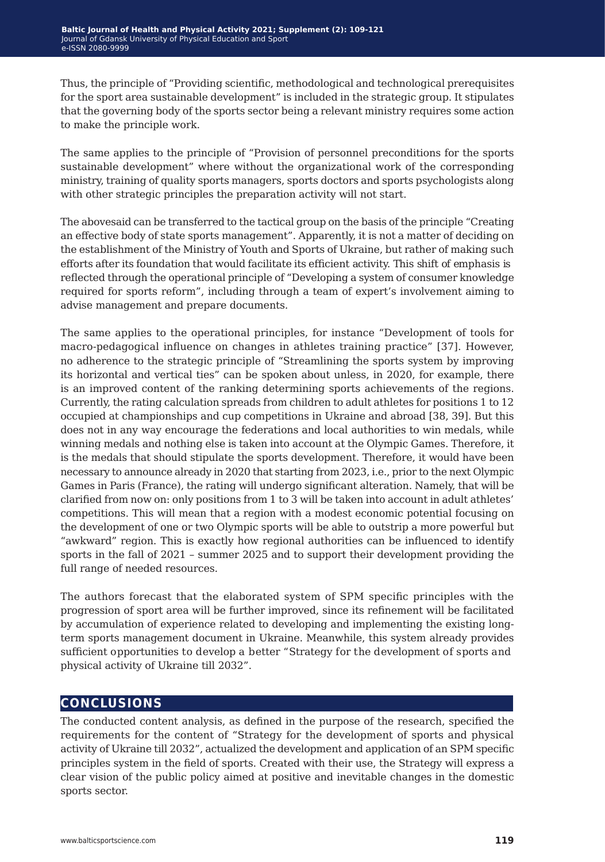Thus, the principle of "Providing scientific, methodological and technological prerequisites for the sport area sustainable development" is included in the strategic group. It stipulates that the governing body of the sports sector being a relevant ministry requires some action to make the principle work.

The same applies to the principle of "Provision of personnel preconditions for the sports sustainable development" where without the organizational work of the corresponding ministry, training of quality sports managers, sports doctors and sports psychologists along with other strategic principles the preparation activity will not start.

The abovesaid can be transferred to the tactical group on the basis of the principle "Creating an effective body of state sports management". Apparently, it is not a matter of deciding on the establishment of the Ministry of Youth and Sports of Ukraine, but rather of making such efforts after its foundation that would facilitate its efficient activity. This shift of emphasis is reflected through the operational principle of "Developing a system of consumer knowledge required for sports reform", including through a team of expert's involvement aiming to advise management and prepare documents.

The same applies to the operational principles, for instance "Development of tools for macro-pedagogical influence on changes in athletes training practice" [37]. However, no adherence to the strategic principle of "Streamlining the sports system by improving its horizontal and vertical ties" can be spoken about unless, in 2020, for example, there is an improved content of the ranking determining sports achievements of the regions. Currently, the rating calculation spreads from children to adult athletes for positions 1 to 12 occupied at championships and cup competitions in Ukraine and abroad [38, 39]. But this does not in any way encourage the federations and local authorities to win medals, while winning medals and nothing else is taken into account at the Olympic Games. Therefore, it is the medals that should stipulate the sports development. Therefore, it would have been necessary to announce already in 2020 that starting from 2023, i.e., prior to the next Olympic Games in Paris (France), the rating will undergo significant alteration. Namely, that will be clarified from now on: only positions from 1 to 3 will be taken into account in adult athletes' competitions. This will mean that a region with a modest economic potential focusing on the development of one or two Olympic sports will be able to outstrip a more powerful but "awkward" region. This is exactly how regional authorities can be influenced to identify sports in the fall of 2021 – summer 2025 and to support their development providing the full range of needed resources.

The authors forecast that the elaborated system of SPM specific principles with the progression of sport area will be further improved, since its refinement will be facilitated by accumulation of experience related to developing and implementing the existing longterm sports management document in Ukraine. Meanwhile, this system already provides sufficient opportunities to develop a better "Strategy for the development of sports and physical activity of Ukraine till 2032".

### **conclusions**

The conducted content analysis, as defined in the purpose of the research, specified the requirements for the content of "Strategy for the development of sports and physical activity of Ukraine till 2032", actualized the development and application of an SPM specific principles system in the field of sports. Created with their use, the Strategy will express a clear vision of the public policy aimed at positive and inevitable changes in the domestic sports sector.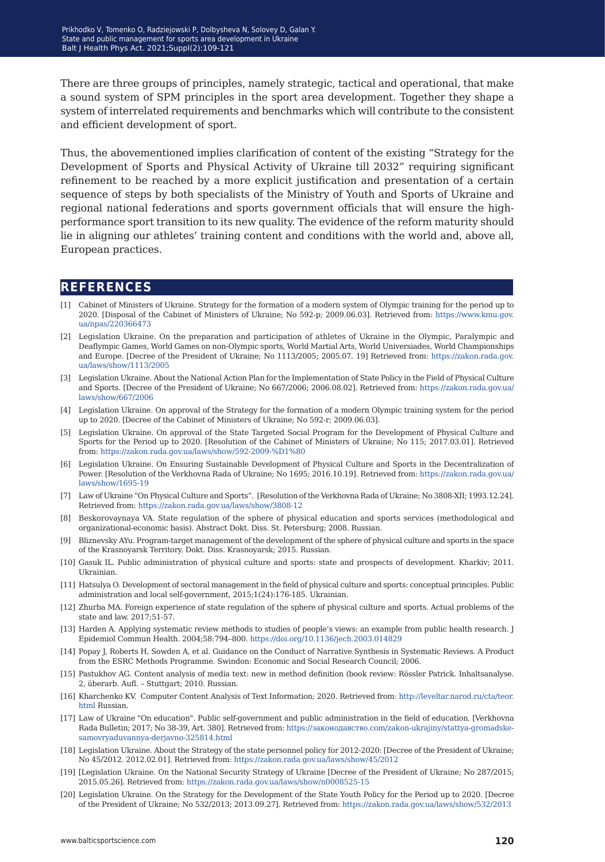There are three groups of principles, namely strategic, tactical and operational, that make a sound system of SPM principles in the sport area development. Together they shape a system of interrelated requirements and benchmarks which will contribute to the consistent and efficient development of sport.

Thus, the abovementioned implies clarification of content of the existing "Strategy for the Development of Sports and Physical Activity of Ukraine till 2032" requiring significant refinement to be reached by a more explicit justification and presentation of a certain sequence of steps by both specialists of the Ministry of Youth and Sports of Ukraine and regional national federations and sports government officials that will ensure the highperformance sport transition to its new quality. The evidence of the reform maturity should lie in aligning our athletes' training content and conditions with the world and, above all, European practices.

#### **references**

- [1] Cabinet of Ministers of Ukraine. Strategy for the formation of a modern system of Olympic training for the period up to 2020. [Disposal of the Cabinet of Ministers of Ukraine; No 592-р; 2009.06.03]. Retrieved from: [https://www.kmu.gov.](https://www.kmu.gov.ua/npas/220366473) [ua/npas/220366473](https://www.kmu.gov.ua/npas/220366473)
- [2] Legislation Ukraine. On the preparation and participation of athletes of Ukraine in the Olympic, Paralympic and Deaflympic Games, World Games on non-Olympic sports, World Martial Arts, World Universiades, World Championships and Europe. [Decree of the President of Ukraine; No 1113/2005; 2005.07. 19] Retrieved from: [https://zakon.rada.gov.](https://zakon.rada.gov.ua/laws/show/1113/2005) [ua/laws/show/1113/2005](https://zakon.rada.gov.ua/laws/show/1113/2005)
- [3] Legislation Ukraine. About the National Action Plan for the Implementation of State Policy in the Field of Physical Culture and Sports. [Decree of the President of Ukraine; No 667/2006; 2006.08.02]. Retrieved from: [https://zakon.rada.gov.ua/](https://zakon.rada.gov.ua/laws/show/667/2006) [laws/show/667/2006](https://zakon.rada.gov.ua/laws/show/667/2006)
- [4] Legislation Ukraine. On approval of the Strategy for the formation of a modern Olympic training system for the period up to 2020. [Decree of the Cabinet of Ministers of Ukraine; No 592-r; 2009.06.03].
- [5] Legislation Ukraine. On approval of the State Targeted Social Program for the Development of Physical Culture and Sports for the Period up to 2020. [Resolution of the Cabinet of Ministers of Ukraine; No 115; 2017.03.01]. Retrieved from:<https://zakon.rada.gov.ua/laws/show/592-2009-%D1%80>
- [6] Legislation Ukraine. On Ensuring Sustainable Development of Physical Culture and Sports in the Decentralization of Power. [Resolution of the Verkhovna Rada of Ukraine; No 1695; 2016.10.19]. Retrieved from: [https://zakon.rada.gov.ua/](https://zakon.rada.gov.ua/laws/show/1695-19) [laws/show/1695-19](https://zakon.rada.gov.ua/laws/show/1695-19)
- [7] Law of Ukraine "On Physical Culture and Sports". [Resolution of the Verkhovna Rada of Ukraine; No 3808-XII; 1993.12.24]. Retrieved from: <https://zakon.rada.gov.ua/laws/show/3808-12>
- [8] Beskorovaynaya VA. State regulation of the sphere of physical education and sports services (methodological and organizational-economic basis). Abstract Dokt. Diss. St. Petersburg; 2008. Russian.
- [9] Bliznevsky AYu. Program-target management of the development of the sphere of physical culture and sports in the space of the Krasnoyarsk Territory. Dokt. Diss. Krasnoyarsk; 2015. Russian.
- [10] Gasuk IL. Public administration of physical culture and sports: state and prospects of development. Kharkiv; 2011. Ukrainian.
- [11] Hatsulya O. Development of sectoral management in the field of physical culture and sports: conceptual principles. Public administration and local self-government, 2015;1(24):176-185. Ukrainian.
- [12] Zhurba MA. Foreign experience of state regulation of the sphere of physical culture and sports. Actual problems of the state and law. 2017;51-57.
- [13] Harden A. Applying systematic review methods to studies of people's views: an example from public health research. J Epidemiol Commun Health. 2004;58:794–800.<https://doi.org/10.1136/jech.2003.014829>
- [14] Popay J, Roberts H, Sowden A, et al. Guidance on the Conduct of Narrative Synthesis in Systematic Reviews. A Product from the ESRC Methods Programme. Swindon: Economic and Social Research Council; 2006.
- [15] Pastukhov AG. Content analysis of media text: new in method definition (book review: Rössler Patrick. Inhaltsanalyse. 2, überarb. Aufl. – Stuttgart; 2010. Russian.
- [16] Kharchenko KV. Computer Content Analysis of Text Information; 2020. Retrieved from: [http://leveltar.narod.ru/cta/teor.](http://leveltar.narod.ru/cta/teor.html) [html](http://leveltar.narod.ru/cta/teor.html) Russian.
- [17] Law of Ukraine "Оn education". Public self-government and public administration in the field of education. [Verkhovna Rada Bulletin; 2017; No 38-39, Art. 380]. Retrieved from: [https://законодавство.com/zakon-ukrajiny/stattya-gromadske](https://законодавство.com/zakon-ukrajiny/stattya-gromadske-samovryaduvannya-derjavno-325814.html)[samovryaduvannya-derjavno-325814.html](https://законодавство.com/zakon-ukrajiny/stattya-gromadske-samovryaduvannya-derjavno-325814.html)
- [18] Legislation Ukraine. About the Strategy of the state personnel policy for 2012-2020: [Decree of the President of Ukraine; No 45/2012. 2012.02.01]. Retrieved from:<https://zakon.rada.gov.ua/laws/show/45/2012>
- [19] [Legislation Ukraine. On the National Security Strategy of Ukraine [Decree of the President of Ukraine; No 287/2015; 2015.05.26]. Retrieved from:<https://zakon.rada.gov.ua/laws/show/n0008525-15>
- [20] Legislation Ukraine. On the Strategy for the Development of the State Youth Policy for the Period up to 2020. [Decree of the President of Ukraine; No 532/2013; 2013.09.27]. Retrieved from:<https://zakon.rada.gov.ua/laws/show/532/2013>